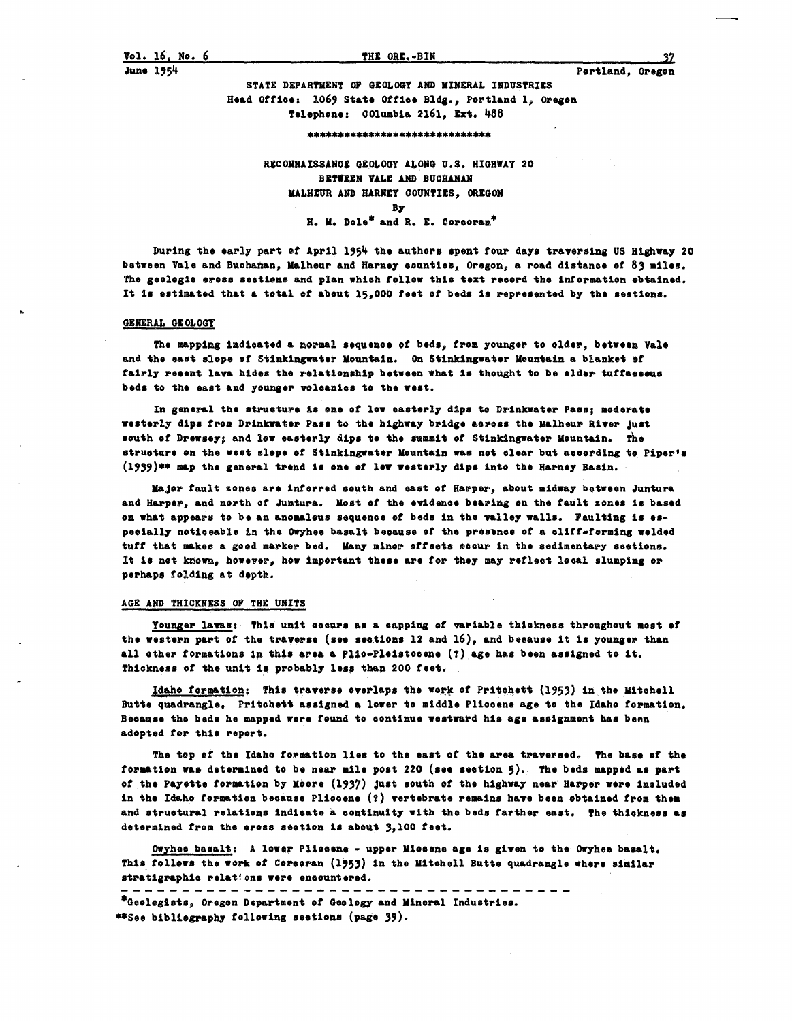STATE DEPARTMENT OF GEOLOGY AND MINERAL INDUSTRIES Head Office: 1069 State Office Bldg., Portland 1, Oregon Telephone: COlumbia 2161, Ext. 488

#### \*\*\*\*\*\*\*\*\*\*\*\*\*\*\*\*\*\*\*\*\*\*\*\*\*\*\*\*\*\*\*

RECONNAISSANCE GEOLOGY ALONG U.S. HIGHWAY 20 BETWEEN VALE AND BUCHANAN MALHEUR AND HARNEY COUNTIES. OREGON By H. M. Dole\* and R. E. Corcoran\*

During the early part of April 1954 the authors spent four days traversing US Highway 20 between Vale and Buchaman, Malheur and Harney counties, Oregon, a road distance of 83 miles. The geologic eross sections and plan which follow this text record the information obtained. It is estimated that a total of about 15,000 feet of beds is represented by the sections.

#### GENERAL GEOLOGY

The mapping indicated a normal sequence of beds, from younger to older, between Vale and the east slope of Stinkingwater Mountain. On Stinkingwater Mountain a blanket of fairly recent lava hides the relationship between what is thought to be older tuffaceous beds to the east and younger volcanics to the west.

In general the structure is one of low easterly dips to Drinkwater Pass; moderate westerly dips from Drinkwater Pass to the highway bridge across the Malheur River just south of Drewsey; and low easterly dips to the summit of Stinkingwater Mountain. The structure on the west slope of Stinkingwater Mountain was not clear but according to Piper's (1939)\*\* map the general trend is one of low westerly dips into the Harney Basin.

Major fault zones are inferred south and east of Harper, about midway between Juntura and Harper, and north of Juntura. Most of the evidence bearing on the fault zones is based on what appears to be an anomalous sequence of beds in the valley walls. Faulting is especially neticeable in the Owyhee basalt because of the presence of a cliff-forming welded tuff that makes a good marker bed. Many miner offsets eccur in the sedimentary sections. It is not known, however, how important these are for they may reflect lecal slumping or perhaps folding at depth.

## AGE AND THICKNESS OF THE UNITS

Younger lavas: This unit occurs as a capping of variable thickness throughout most of the western part of the traverse (see sections 12 and  $16$ ), and because it is younger than all other formations in this area a Plic-Pleistocene (?) age has been assigned to it. Thickness of the unit is probably less than 200 feet.

Idaho formation: This traverse overlaps the work of Pritchett (1953) in the Mitchell Butte quadrangle. Pritchett assigned a lower to middle Pliccene age to the Idaho formation. Because the beds he mapped were found to continue westward his age assignment has been adepted for this report.

The top of the Idaho formation lies to the east of the area traversed. The base of the formation was determined to be near mile post 220 (see section 5). The beds mapped as part of the Payette formation by Moore (1937) just south of the highway near Harper were included in the Idaho formation because Plicesne (?) vertebrate remains have been obtained from them and structural relations indicate a continuity with the beds farther east. The thickness as determined from the cross section is about 3,100 feet.

Owyhee basalt: A lower Pliccene - upper Miccene age is given to the Owyhee basalt. This follews the work of Corcoran (1953) in the Mitchell Butte quadrangle where similar stratigraphic relations were encountered. ------------

\*Geologists, Oregon Department of Geology and Mineral Industries. \*\*See bibliography following sections (page 39).

37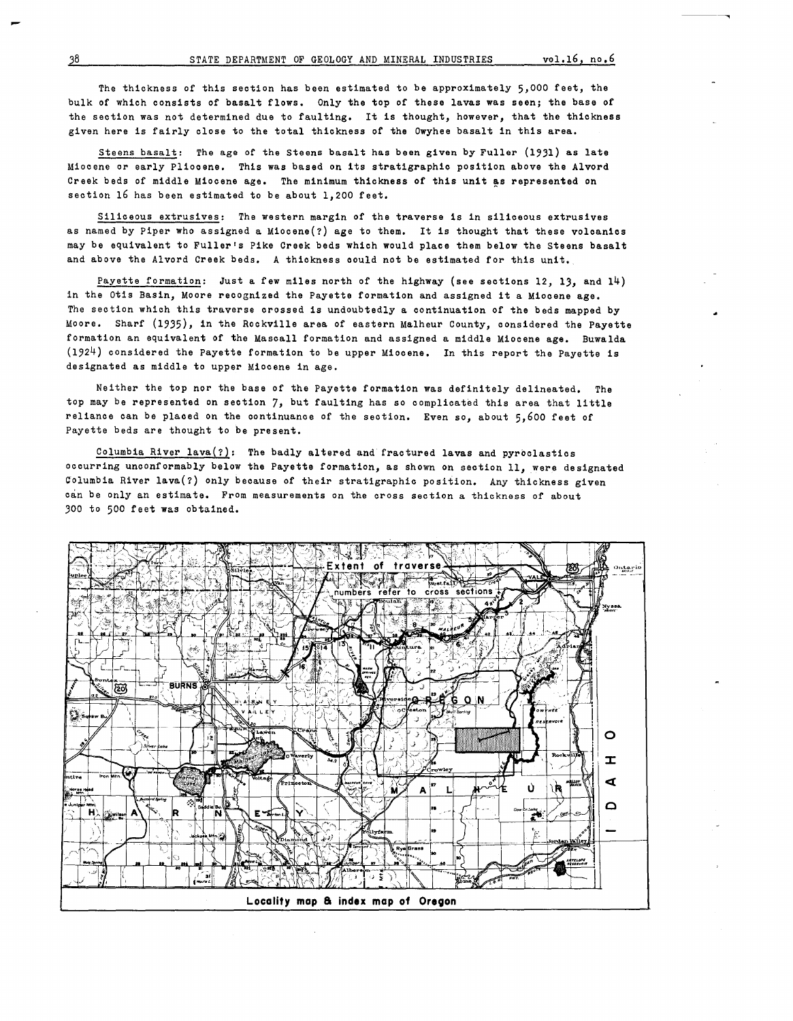The thickness of this section has been estimated to be approximately 5,000 feet, the bulk of which consists of basalt flows. Only the top of these lavas was seen; the base of the section was not determined due to faulting. It is thought, however, that the thickness given here is fairly close to the total thickness of the Owyhee basalt in this area.

Steens basalt: The age of the Steens basalt has been given by Fuller (1931) as late Miocene or early Pliocene. This was based on its stratigraphic position above the Alvord Creek beds of middle Miocene age. The minimum thickness of this unit as represented on section 16 has been estimated to be about 1,200 feet.

Siliceous extrusives: The western margin of the traverse is in siliceous extrusives as named by Piper who assigned a Miocene(?) age to them. It is thought that these volcanics may be equivalent to Fuller's Pike Creek beds which would place them below the Steens basalt and above the Alvord Creek beds. A thickness could not be estimated for this unit.

Payette formation: Just a few miles north of the highway (see sections 12, 13, and 14) in the Otis Basin, Moore recognized the Payette formation and assigned it a Miocene age. The section which this traverse crossed is undoubtedly a continuation of the beds mapped by Moore. Sharf (1935), in the Rockville area of eastern Malheur County, considered the payette formation an equivalent of the Mascall formation and assigned a middle Miocene age. Buwalda (1924) considered the payette formation to be upper Miocene. In this report the Payette is designated as middle to upper Miocene in age.

Neither the top nor the base of the Payette formation was definitely delineated. The top may be represented on section 7, but faulting has so complicated this area that little reliance can be placed on the continuance of the section. Even so, about 5,600 feet of Payette beds are thought to be present.

Columbia River lava $(?)$ : The badly altered and fractured lavas and pyroclastics occurring unconformably below the Payette formation, as shown on section 11, were designated Columbia River lava(?) only because of their stratigraphic position. Any thickness given can be only an estimate. From measurements on the cross section a thickness of about 300 to 500 feet was obtained.

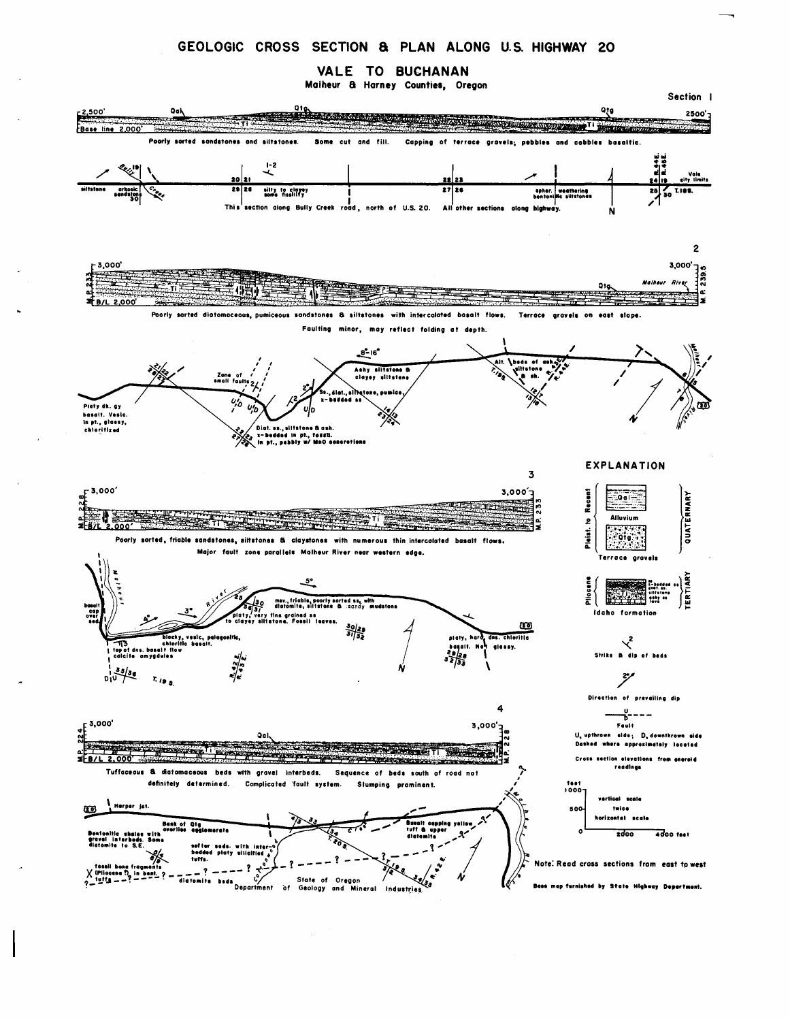# GEOLOGIC CROSS SECTION & PLAN ALONG U.S. HIGHWAY 20

VALE TO BUCHANAN

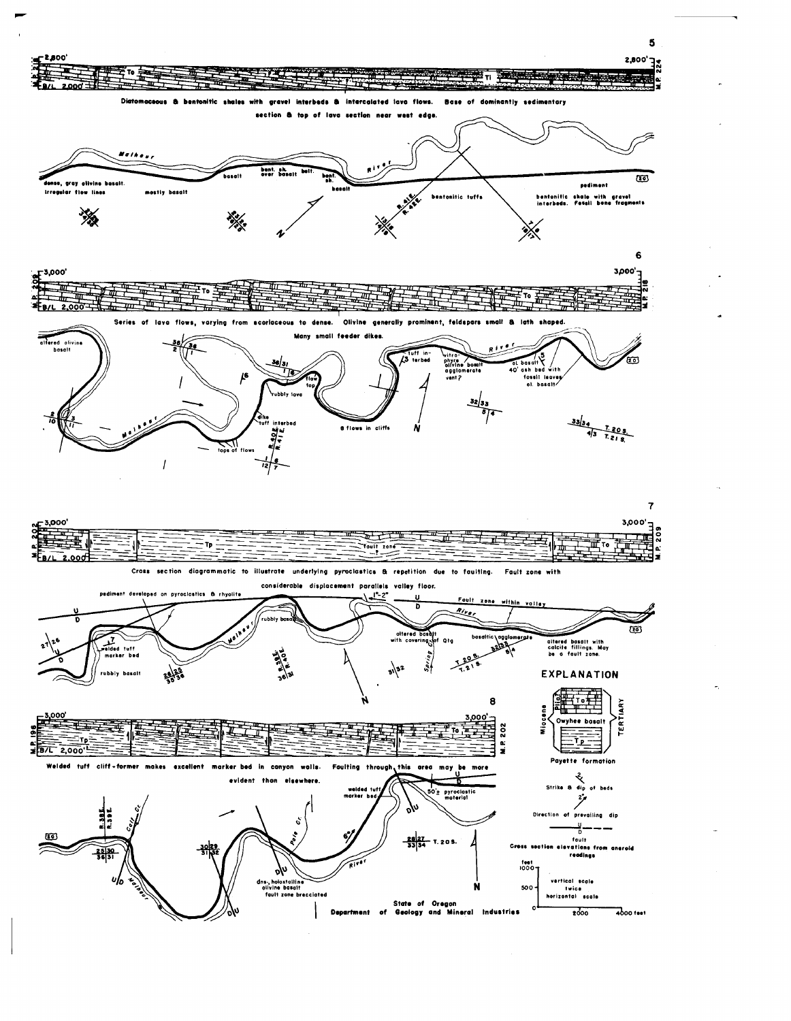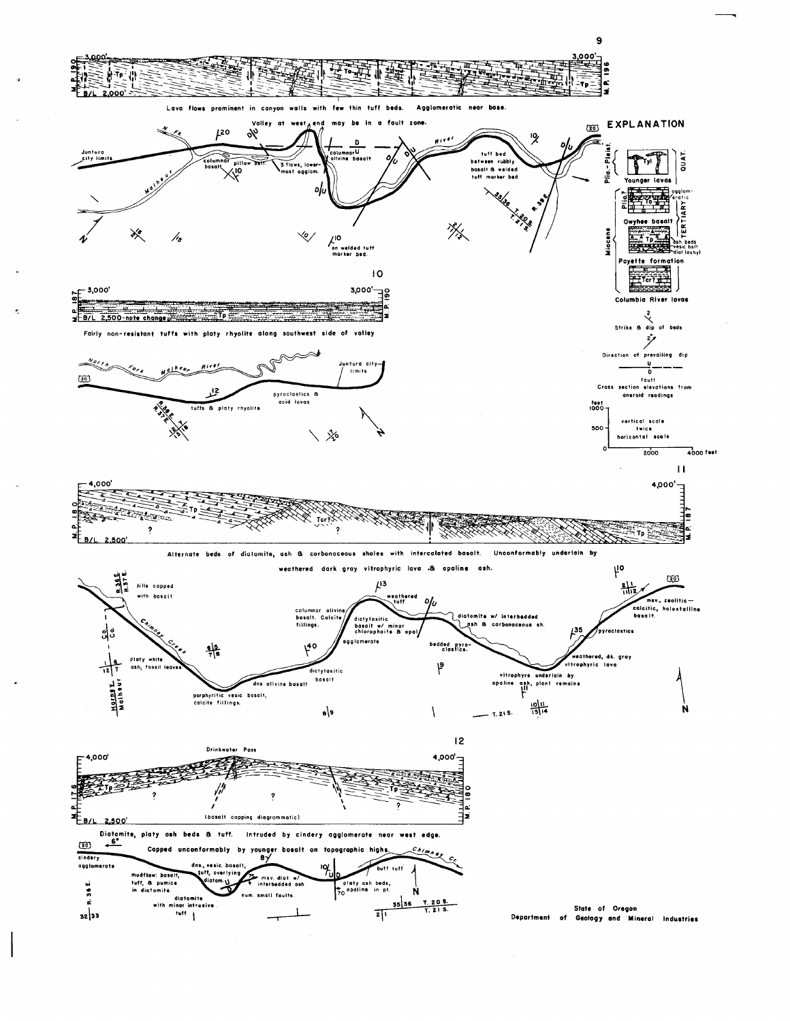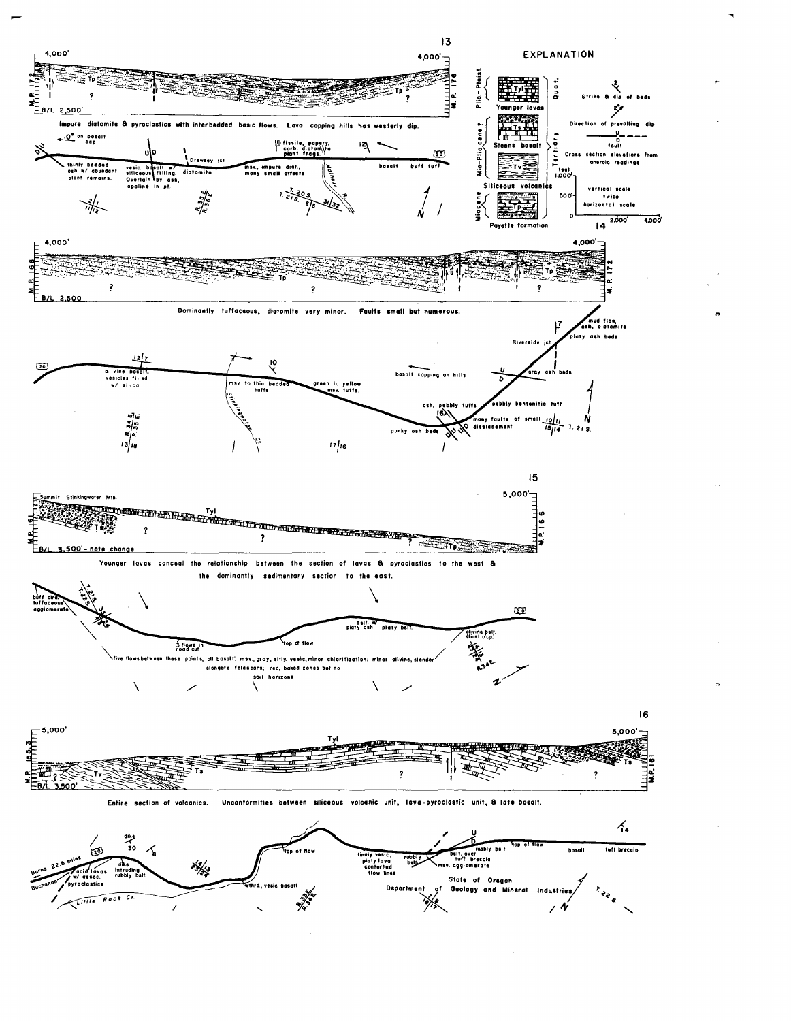

 $\frac{1}{2}$ 

Lillie Rock Cr

Geology and Mineral 涿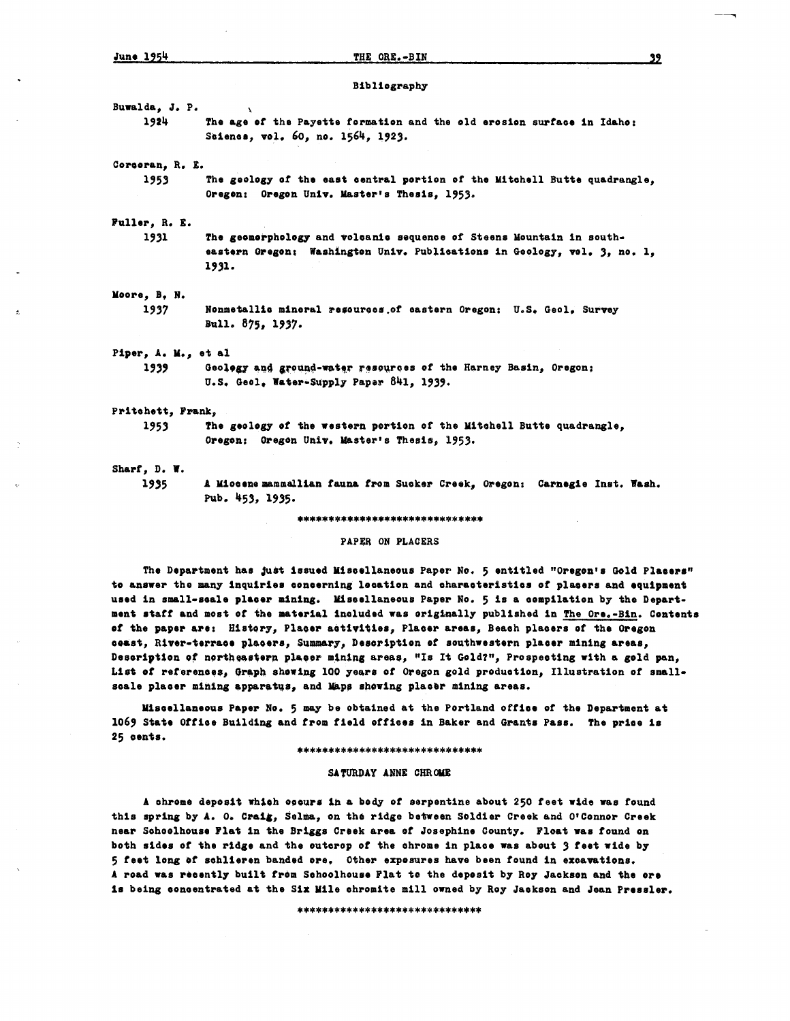Bibliography

Buwalda, J. P. The age of the Payette formation and the old erosion surface in Idaho: 1924 Science, vol. 60, no. 1564, 1923.

Corcoran, R. E.

The geology of the east central portion of the Mitchell Butte quadrangle, 1953 Oregon: Oregon Univ. Master's Thesis, 1953.

Fuller, R. E.

1931 The geomorphology and volcanic sequence of Steens Mountain in southeastern Oregon: Washington Univ. Publications in Geology, vol. 3, no. 1, 1931.

#### Moore, B. N.

1937 Nonmetallic mineral resources of eastern Oregon: U.S. Geol. Survey Bull. 875, 1937.

## Piper, A. M., et al

Geology and ground-water resources of the Harney Basin, Oregon: 1939 U.S. Geol. Water-Supply Paper 841, 1939.

## Pritchett, Frank,

1953

The geology of the western portion of the Mitchell Butte quadrangle, Oregon; Oregon Univ. Master's Thesis, 1953.

## Sharf, D. W.

1935

A Miocene mammallian fauna from Sucker Creek, Oregon: Carnegie Inst. Wash. Pub. 453, 1935.

#### \*\*\*\*\*\*\*\*\*\*\*\*\*\*\*\*\*\*\*\*\*\*\*\*\*\*\*\*\*\*

### PAPER ON PLACERS

The Department has just issued Miscellaneous Paper No. 5 entitled "Oregon's Gold Placers" to answer the many inquiries concerning location and characteristics of placers and equipment used in small-scale placer mining. Miscellaneous Paper No. 5 is a compilation by the Department staff and most of the material included was originally published in The Ore.-Bin. Contents of the paper are: History, Placer activities, Placer areas, Beach placers of the Oregon ceast, River-terrace placers, Summary, Description of southwestern placer mining areas, Description of northeastern placer mining areas, "Is It Gold?", Prospecting with a gold pan, List of references, Graph showing 100 years of Oregon gold production, Illustration of smallscale placer mining apparatus, and Maps shewing placer mining areas.

Miscellaneous Paper No. 5 may be obtained at the Portland office of the Department at 1069 State Office Building and from field offices in Baker and Grants Pass. The price is 25 cents.

#### \*\*\*\*\*\*\*\*\*\*\*\*\*\*\*\*\*\*\*\*\*\*\*\*\*\*\*\*\*\*

#### SATURDAY ANNE CHROME

A chrome deposit which occurs in a body of serpentine about 250 feet wide was found this spring by A. O. Craig, Selma, on the ridge between Soldier Creek and O'Connor Creek near Schoolhouse Flat in the Briggs Creek area of Josephine County. Float was found on both sides of the ridge and the outcrop of the chrome in place was about 3 feet wide by 5 feet long of schlieren banded ore. Other exposures have been found in excavations. A road was recently built from Schoolhouse Flat to the deposit by Roy Jackson and the ore is being concentrated at the Six Mile chromite mill owned by Roy Jackson and Jean Pressler.

\*\*\*\*\*\*\*\*\*\*\*\*\*\*\*\*\*\*\*\*\*\*\*\*\*\*\*\*\*

22